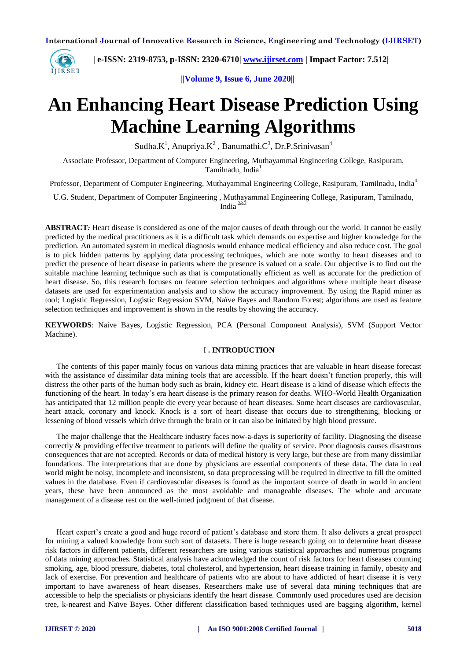

 **| e-ISSN: 2319-8753, p-ISSN: 2320-6710| [www.ijirset.com](http://www.ijirset.com/) | Impact Factor: 7.512|**

 **||Volume 9, Issue 6, June 2020||** 

# **An Enhancing Heart Disease Prediction Using Machine Learning Algorithms**

Sudha. $K^1$ , Anupriya. $K^2$ , Banumathi. $C^3$ , Dr.P.Srinivasan<sup>4</sup>

Associate Professor, Department of Computer Engineering, Muthayammal Engineering College, Rasipuram, Tamilnadu, India<sup>1</sup>

Professor, Department of Computer Engineering, Muthayammal Engineering College, Rasipuram, Tamilnadu, India<sup>4</sup>

U.G. Student, Department of Computer Engineering , Muthayammal Engineering College, Rasipuram, Tamilnadu, India 2&3

**ABSTRACT***:* Heart disease is considered as one of the major causes of death through out the world. It cannot be easily predicted by the medical practitioners as it is a difficult task which demands on expertise and higher knowledge for the prediction. An automated system in medical diagnosis would enhance medical efficiency and also reduce cost. The goal is to pick hidden patterns by applying data processing techniques, which are note worthy to heart diseases and to predict the presence of heart disease in patients where the presence is valued on a scale. Our objective is to find out the suitable machine learning technique such as that is computationally efficient as well as accurate for the prediction of heart disease. So, this research focuses on feature selection techniques and algorithms where multiple heart disease datasets are used for experimentation analysis and to show the accuracy improvement. By using the Rapid miner as tool; Logistic Regression, Logistic Regression SVM, Naïve Bayes and Random Forest; algorithms are used as feature selection techniques and improvement is shown in the results by showing the accuracy.

**KEYWORDS**: Naive Bayes, Logistic Regression, PCA (Personal Component Analysis), SVM (Support Vector Machine).

# I **. INTRODUCTION**

The contents of this paper mainly focus on various data mining practices that are valuable in heart disease forecast with the assistance of dissimilar data mining tools that are accessible. If the heart doesn't function properly, this will distress the other parts of the human body such as brain, kidney etc. Heart disease is a kind of disease which effects the functioning of the heart. In today's era heart disease is the primary reason for deaths. WHO-World Health Organization has anticipated that 12 million people die every year because of heart diseases. Some heart diseases are cardiovascular, heart attack, coronary and knock. Knock is a sort of heart disease that occurs due to strengthening, blocking or lessening of blood vessels which drive through the brain or it can also be initiated by high blood pressure.

The major challenge that the Healthcare industry faces now-a-days is superiority of facility. Diagnosing the disease correctly & providing effective treatment to patients will define the quality of service. Poor diagnosis causes disastrous consequences that are not accepted. Records or data of medical history is very large, but these are from many dissimilar foundations. The interpretations that are done by physicians are essential components of these data. The data in real world might be noisy, incomplete and inconsistent, so data preprocessing will be required in directive to fill the omitted values in the database. Even if cardiovascular diseases is found as the important source of death in world in ancient years, these have been announced as the most avoidable and manageable diseases. The whole and accurate management of a disease rest on the well-timed judgment of that disease.

Heart expert's create a good and huge record of patient's database and store them. It also delivers a great prospect for mining a valued knowledge from such sort of datasets. There is huge research going on to determine heart disease risk factors in different patients, different researchers are using various statistical approaches and numerous programs of data mining approaches. Statistical analysis have acknowledged the count of risk factors for heart diseases counting smoking, age, blood pressure, diabetes, total cholesterol, and hypertension, heart disease training in family, obesity and lack of exercise. For prevention and healthcare of patients who are about to have addicted of heart disease it is very important to have awareness of heart diseases. Researchers make use of several data mining techniques that are accessible to help the specialists or physicians identify the heart disease. Commonly used procedures used are decision tree, k-nearest and Naïve Bayes. Other different classification based techniques used are bagging algorithm, kernel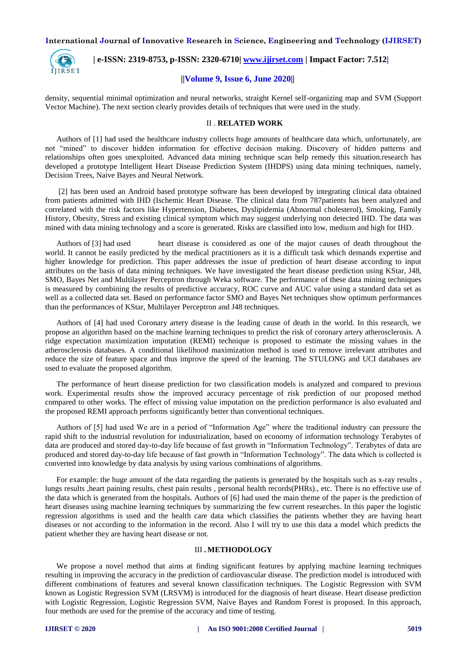

 **| e-ISSN: 2319-8753, p-ISSN: 2320-6710| [www.ijirset.com](http://www.ijirset.com/) | Impact Factor: 7.512|**

## **||Volume 9, Issue 6, June 2020||**

density, sequential minimal optimization and neural networks, straight Kernel self-organizing map and SVM (Support Vector Machine). The next section clearly provides details of techniques that were used in the study.

#### II . **RELATED WORK**

Authors of [1] had used the healthcare industry collects huge amounts of healthcare data which, unfortunately, are not "mined" to discover hidden information for effective decision making. Discovery of hidden patterns and relationships often goes unexploited. Advanced data mining technique scan help remedy this situation.research has developed a prototype Intelligent Heart Disease Prediction System (IHDPS) using data mining techniques, namely, Decision Trees, Naive Bayes and Neural Network.

[2] has been used an Android based prototype software has been developed by integrating clinical data obtained from patients admitted with IHD (Ischemic Heart Disease. The clinical data from 787patients has been analyzed and correlated with the risk factors like Hypertension, Diabetes, Dyslipidemia (Abnormal cholesterol), Smoking, Family History, Obesity, Stress and existing clinical symptom which may suggest underlying non detected IHD. The data was mined with data mining technology and a score is generated. Risks are classified into low, medium and high for IHD.

Authors of [3] had used heart disease is considered as one of the major causes of death throughout the world. It cannot be easily predicted by the medical practitioners as it is a difficult task which demands expertise and higher knowledge for prediction. This paper addresses the issue of prediction of heart disease according to input attributes on the basis of data mining techniques. We have investigated the heart disease prediction using KStar, J48, SMO, Bayes Net and Multilayer Perceptron through Weka software. The performance of these data mining techniques is measured by combining the results of predictive accuracy, ROC curve and AUC value using a standard data set as well as a collected data set. Based on performance factor SMO and Bayes Net techniques show optimum performances than the performances of KStar, Multilayer Perceptron and J48 techniques.

Authors of [4] had used Coronary artery disease is the leading cause of death in the world. In this research, we propose an algorithm based on the machine learning techniques to predict the risk of coronary artery atherosclerosis. A ridge expectation maximization imputation (REMI) technique is proposed to estimate the missing values in the atherosclerosis databases. A conditional likelihood maximization method is used to remove irrelevant attributes and reduce the size of feature space and thus improve the speed of the learning. The STULONG and UCI databases are used to evaluate the proposed algorithm.

The performance of heart disease prediction for two classification models is analyzed and compared to previous work. Experimental results show the improved accuracy percentage of risk prediction of our proposed method compared to other works. The effect of missing value imputation on the prediction performance is also evaluated and the proposed REMI approach performs significantly better than conventional techniques.

Authors of [5] had used We are in a period of "Information Age" where the traditional industry can pressure the rapid shift to the industrial revolution for industrialization, based on economy of information technology Terabytes of data are produced and stored day-to-day life because of fast growth in "Information Technology". Terabytes of data are produced and stored day-to-day life because of fast growth in "Information Technology". The data which is collected is converted into knowledge by data analysis by using various combinations of algorithms.

For example: the huge amount of the data regarding the patients is generated by the hospitals such as x-ray results , lungs results ,heart paining results, chest pain results , personal health records(PHRs)., etc. There is no effective use of the data which is generated from the hospitals. Authors of [6] had used the main theme of the paper is the prediction of heart diseases using machine learning techniques by summarizing the few current researches. In this paper the logistic regression algorithms is used and the health care data which classifies the patients whether they are having heart diseases or not according to the information in the record. Also I will try to use this data a model which predicts the patient whether they are having heart disease or not.

#### III **. METHODOLOGY**

We propose a novel method that aims at finding significant features by applying machine learning techniques resulting in improving the accuracy in the prediction of cardiovascular disease. The prediction model is introduced with different combinations of features and several known classification techniques. The Logistic Regression with SVM known as Logistic Regression SVM (LRSVM) is introduced for the diagnosis of heart disease. Heart disease prediction with Logistic Regression, Logistic Regression SVM, Naive Bayes and Random Forest is proposed. In this approach, four methods are used for the premise of the accuracy and time of testing.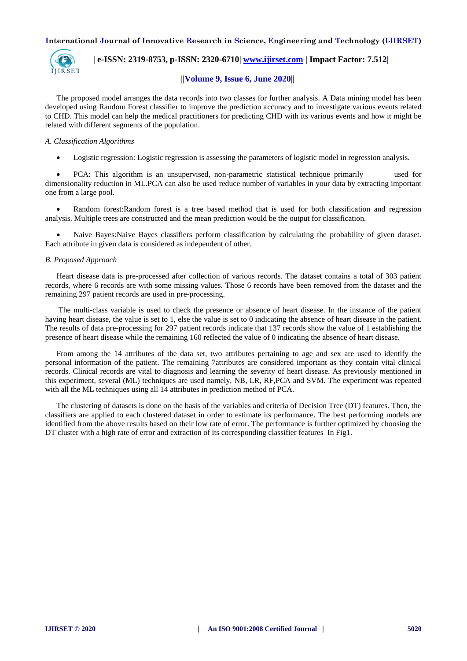

 **| e-ISSN: 2319-8753, p-ISSN: 2320-6710| [www.ijirset.com](http://www.ijirset.com/) | Impact Factor: 7.512|**

# **||Volume 9, Issue 6, June 2020||**

The proposed model arranges the data records into two classes for further analysis. A Data mining model has been developed using Random Forest classifier to improve the prediction accuracy and to investigate various events related to CHD. This model can help the medical practitioners for predicting CHD with its various events and how it might be related with different segments of the population.

## *A. Classification Algorithms*

Logistic regression: Logistic regression is assessing the parameters of logistic model in regression analysis.

 PCA: This algorithm is an unsupervised, non-parametric statistical technique primarily used for dimensionality reduction in ML.PCA can also be used reduce number of variables in your data by extracting important one from a large pool.

 Random forest:Random forest is a tree based method that is used for both classification and regression analysis. Multiple trees are constructed and the mean prediction would be the output for classification.

 Naive Bayes:Naive Bayes classifiers perform classification by calculating the probability of given dataset. Each attribute in given data is considered as independent of other.

#### *B. Proposed Approach*

Heart disease data is pre-processed after collection of various records. The dataset contains a total of 303 patient records, where 6 records are with some missing values. Those 6 records have been removed from the dataset and the remaining 297 patient records are used in pre-processing.

The multi-class variable is used to check the presence or absence of heart disease. In the instance of the patient having heart disease, the value is set to 1, else the value is set to 0 indicating the absence of heart disease in the patient. The results of data pre-processing for 297 patient records indicate that 137 records show the value of 1 establishing the presence of heart disease while the remaining 160 reflected the value of 0 indicating the absence of heart disease.

From among the 14 attributes of the data set, two attributes pertaining to age and sex are used to identify the personal information of the patient. The remaining 7attributes are considered important as they contain vital clinical records. Clinical records are vital to diagnosis and learning the severity of heart disease. As previously mentioned in this experiment, several (ML) techniques are used namely, NB, LR, RF,PCA and SVM. The experiment was repeated with all the ML techniques using all 14 attributes in prediction method of PCA.

The clustering of datasets is done on the basis of the variables and criteria of Decision Tree (DT) features. Then, the classifiers are applied to each clustered dataset in order to estimate its performance. The best performing models are identified from the above results based on their low rate of error. The performance is further optimized by choosing the DT cluster with a high rate of error and extraction of its corresponding classifier features In Fig1.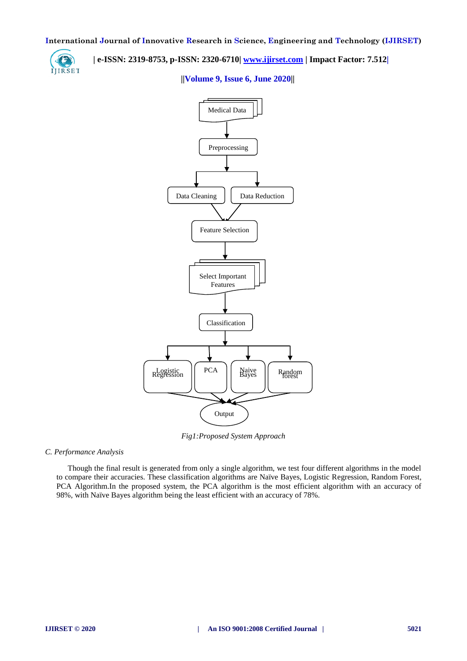

 **| e-ISSN: 2319-8753, p-ISSN: 2320-6710| [www.ijirset.com](http://www.ijirset.com/) | Impact Factor: 7.512|**

## **||Volume 9, Issue 6, June 2020||**



*Fig1:Proposed System Approach*

*C. Performance Analysis*

Though the final result is generated from only a single algorithm, we test four different algorithms in the model to compare their accuracies. These classification algorithms are Naïve Bayes, Logistic Regression, Random Forest, PCA Algorithm.In the proposed system, the PCA algorithm is the most efficient algorithm with an accuracy of 98%, with Naïve Bayes algorithm being the least efficient with an accuracy of 78%.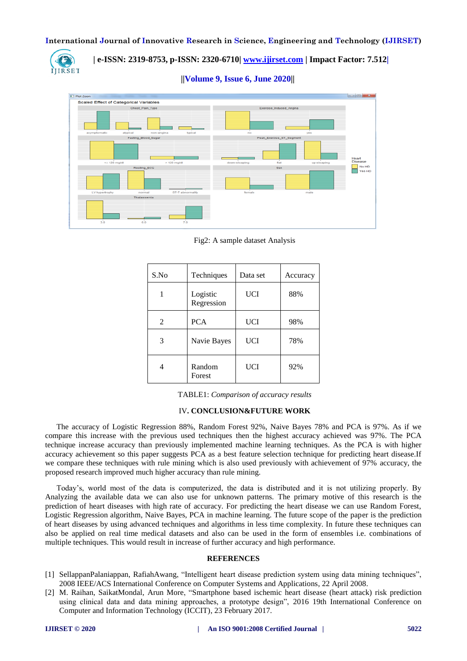

 **| e-ISSN: 2319-8753, p-ISSN: 2320-6710| [www.ijirset.com](http://www.ijirset.com/) | Impact Factor: 7.512|**

 **||Volume 9, Issue 6, June 2020||** 



Fig2: A sample dataset Analysis

| S.No | Techniques             | Data set   | Accuracy |
|------|------------------------|------------|----------|
|      | Logistic<br>Regression | UCI        | 88%      |
| 2    | <b>PCA</b>             | UCI        | 98%      |
| 3    | Navie Bayes            | UCI        | 78%      |
| 4    | Random<br>Forest       | <b>UCI</b> | 92%      |

TABLE1: *Comparison of accuracy results*

## IV**. CONCLUSION&FUTURE WORK**

The accuracy of Logistic Regression 88%, Random Forest 92%, Naive Bayes 78% and PCA is 97%. As if we compare this increase with the previous used techniques then the highest accuracy achieved was 97%. The PCA technique increase accuracy than previously implemented machine learning techniques. As the PCA is with higher accuracy achievement so this paper suggests PCA as a best feature selection technique for predicting heart disease.If we compare these techniques with rule mining which is also used previously with achievement of 97% accuracy, the proposed research improved much higher accuracy than rule mining.

Today's, world most of the data is computerized, the data is distributed and it is not utilizing properly. By Analyzing the available data we can also use for unknown patterns. The primary motive of this research is the prediction of heart diseases with high rate of accuracy. For predicting the heart disease we can use Random Forest, Logistic Regression algorithm, Naive Bayes, PCA in machine learning. The future scope of the paper is the prediction of heart diseases by using advanced techniques and algorithms in less time complexity. In future these techniques can also be applied on real time medical datasets and also can be used in the form of ensembles i.e. combinations of multiple techniques. This would result in increase of further accuracy and high performance.

#### **REFERENCES**

- [1] [SellappanPalaniappan, RafiahAwang,](https://ieeexplore.ieee.org/author/37562398400) "Intelligent heart disease prediction system using data mining techniques", [2008 IEEE/ACS International Conference on Computer Systems and Applications,](https://ieeexplore.ieee.org/xpl/conhome/4488216/proceeding) 22 April 2008.
- [2] [M. Raihan,](https://ieeexplore.ieee.org/author/37086117137) [SaikatMondal,](https://ieeexplore.ieee.org/author/37086119944) [Arun More,](https://ieeexplore.ieee.org/author/37086119186) "Smartphone based ischemic heart disease (heart attack) risk prediction using clinical data and data mining approaches, a prototype design", [2016 19th International Conference on](https://ieeexplore.ieee.org/xpl/conhome/7854082/proceeding)  [Computer and Information Technology \(ICCIT\),](https://ieeexplore.ieee.org/xpl/conhome/7854082/proceeding) 23 February 2017.